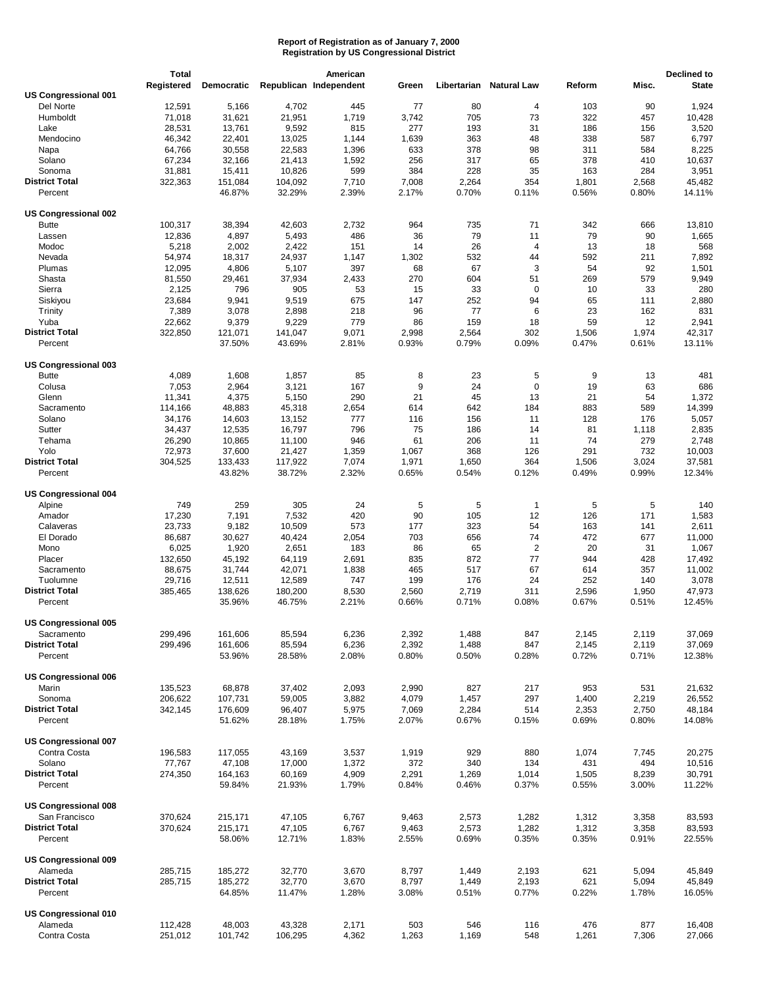|                             | <b>Total</b> |                   |         | American               |       |             |                    |        |       | Declined to  |
|-----------------------------|--------------|-------------------|---------|------------------------|-------|-------------|--------------------|--------|-------|--------------|
|                             | Registered   | <b>Democratic</b> |         | Republican Independent | Green | Libertarian | <b>Natural Law</b> | Reform | Misc. | <b>State</b> |
| <b>US Congressional 001</b> |              |                   |         |                        |       |             |                    |        |       |              |
| Del Norte                   | 12,591       | 5,166             | 4,702   | 445                    | 77    | 80          | 4                  | 103    | 90    | 1,924        |
| Humboldt                    | 71,018       | 31,621            | 21,951  | 1,719                  | 3,742 | 705         | 73                 | 322    | 457   | 10,428       |
| Lake                        | 28,531       | 13,761            | 9,592   | 815                    | 277   | 193         | 31                 | 186    | 156   | 3,520        |
|                             |              |                   |         |                        |       |             |                    |        |       |              |
| Mendocino                   | 46,342       | 22,401            | 13,025  | 1,144                  | 1,639 | 363         | 48                 | 338    | 587   | 6,797        |
| Napa                        | 64,766       | 30,558            | 22,583  | 1,396                  | 633   | 378         | 98                 | 311    | 584   | 8,225        |
| Solano                      | 67,234       | 32,166            | 21,413  | 1,592                  | 256   | 317         | 65                 | 378    | 410   | 10,637       |
| Sonoma                      | 31,881       | 15,411            | 10,826  | 599                    | 384   | 228         | 35                 | 163    | 284   | 3,951        |
| <b>District Total</b>       | 322,363      | 151,084           | 104,092 | 7,710                  | 7,008 | 2,264       | 354                | 1,801  | 2,568 | 45,482       |
| Percent                     |              | 46.87%            | 32.29%  | 2.39%                  | 2.17% | 0.70%       | 0.11%              | 0.56%  | 0.80% | 14.11%       |
|                             |              |                   |         |                        |       |             |                    |        |       |              |
| US Congressional 002        |              |                   |         |                        |       |             |                    |        |       |              |
| <b>Butte</b>                | 100,317      | 38,394            | 42,603  | 2,732                  | 964   | 735         | 71                 | 342    | 666   | 13,810       |
|                             |              |                   |         | 486                    |       |             | 11                 | 79     | 90    | 1,665        |
| Lassen                      | 12,836       | 4,897             | 5,493   |                        | 36    | 79          |                    |        |       |              |
| Modoc                       | 5,218        | 2,002             | 2,422   | 151                    | 14    | 26          | 4                  | 13     | 18    | 568          |
| Nevada                      | 54,974       | 18,317            | 24,937  | 1,147                  | 1,302 | 532         | 44                 | 592    | 211   | 7,892        |
| Plumas                      | 12,095       | 4,806             | 5,107   | 397                    | 68    | 67          | 3                  | 54     | 92    | 1,501        |
| Shasta                      | 81,550       | 29,461            | 37,934  | 2,433                  | 270   | 604         | 51                 | 269    | 579   | 9,949        |
| Sierra                      | 2,125        | 796               | 905     | 53                     | 15    | 33          | $\mathbf 0$        | 10     | 33    | 280          |
| Siskiyou                    | 23,684       | 9,941             | 9,519   | 675                    | 147   | 252         | 94                 | 65     | 111   | 2,880        |
| Trinity                     | 7,389        | 3,078             | 2,898   | 218                    | 96    | 77          | 6                  | 23     | 162   | 831          |
|                             |              |                   |         | 779                    | 86    | 159         | 18                 | 59     | 12    |              |
| Yuba                        | 22,662       | 9,379             | 9,229   |                        |       |             |                    |        |       | 2,941        |
| <b>District Total</b>       | 322,850      | 121,071           | 141,047 | 9,071                  | 2,998 | 2,564       | 302                | 1,506  | 1,974 | 42,317       |
| Percent                     |              | 37.50%            | 43.69%  | 2.81%                  | 0.93% | 0.79%       | 0.09%              | 0.47%  | 0.61% | 13.11%       |
|                             |              |                   |         |                        |       |             |                    |        |       |              |
| US Congressional 003        |              |                   |         |                        |       |             |                    |        |       |              |
| <b>Butte</b>                | 4,089        | 1,608             | 1,857   | 85                     | 8     | 23          | 5                  | 9      | 13    | 481          |
| Colusa                      | 7,053        | 2,964             | 3,121   | 167                    | 9     | 24          | $\mathbf 0$        | 19     | 63    | 686          |
| Glenn                       | 11,341       | 4,375             | 5,150   | 290                    | 21    | 45          | 13                 | 21     | 54    | 1,372        |
| Sacramento                  |              |                   |         |                        |       | 642         |                    |        | 589   |              |
|                             | 114,166      | 48,883            | 45,318  | 2,654                  | 614   |             | 184                | 883    |       | 14,399       |
| Solano                      | 34,176       | 14,603            | 13,152  | 777                    | 116   | 156         | 11                 | 128    | 176   | 5,057        |
| Sutter                      | 34,437       | 12,535            | 16,797  | 796                    | 75    | 186         | 14                 | 81     | 1,118 | 2,835        |
| Tehama                      | 26,290       | 10,865            | 11,100  | 946                    | 61    | 206         | 11                 | 74     | 279   | 2,748        |
| Yolo                        | 72,973       | 37,600            | 21,427  | 1,359                  | 1,067 | 368         | 126                | 291    | 732   | 10,003       |
| <b>District Total</b>       | 304,525      | 133,433           | 117,922 | 7,074                  | 1,971 | 1,650       | 364                | 1,506  | 3,024 | 37,581       |
| Percent                     |              | 43.82%            | 38.72%  | 2.32%                  | 0.65% | 0.54%       | 0.12%              | 0.49%  | 0.99% | 12.34%       |
|                             |              |                   |         |                        |       |             |                    |        |       |              |
| <b>US Congressional 004</b> |              |                   |         |                        |       |             |                    |        |       |              |
|                             | 749          |                   |         |                        |       |             |                    |        |       |              |
| Alpine                      |              | 259               | 305     | 24                     | 5     | 5           | $\mathbf{1}$       | 5      | 5     | 140          |
| Amador                      | 17,230       | 7,191             | 7,532   | 420                    | 90    | 105         | 12                 | 126    | 171   | 1,583        |
| Calaveras                   | 23,733       | 9,182             | 10,509  | 573                    | 177   | 323         | 54                 | 163    | 141   | 2,611        |
| El Dorado                   | 86,687       | 30,627            | 40,424  | 2,054                  | 703   | 656         | 74                 | 472    | 677   | 11,000       |
| Mono                        | 6,025        | 1,920             | 2,651   | 183                    | 86    | 65          | $\overline{2}$     | 20     | 31    | 1,067        |
| Placer                      | 132,650      | 45,192            | 64,119  | 2,691                  | 835   | 872         | 77                 | 944    | 428   | 17,492       |
| Sacramento                  | 88,675       | 31,744            | 42,071  | 1,838                  | 465   | 517         | 67                 | 614    | 357   | 11,002       |
| Tuolumne                    | 29,716       | 12,511            | 12,589  | 747                    | 199   | 176         | 24                 | 252    | 140   | 3,078        |
| <b>District Total</b>       | 385,465      | 138,626           | 180,200 | 8,530                  | 2,560 | 2,719       | 311                | 2,596  | 1,950 | 47,973       |
|                             |              |                   |         |                        |       |             |                    |        |       |              |
| Percent                     |              | 35.96%            | 46.75%  | 2.21%                  | 0.66% | 0.71%       | 0.08%              | 0.67%  | 0.51% | 12.45%       |
|                             |              |                   |         |                        |       |             |                    |        |       |              |
| US Congressional 005        |              |                   |         |                        |       |             |                    |        |       |              |
| Sacramento                  | 299,496      | 161,606           | 85,594  | 6,236                  | 2,392 | 1,488       | 847                | 2,145  | 2,119 | 37,069       |
| <b>District Total</b>       | 299,496      | 161,606           | 85,594  | 6,236                  | 2,392 | 1,488       | 847                | 2,145  | 2,119 | 37,069       |
| Percent                     |              | 53.96%            | 28.58%  | 2.08%                  | 0.80% | 0.50%       | 0.28%              | 0.72%  | 0.71% | 12.38%       |
|                             |              |                   |         |                        |       |             |                    |        |       |              |
| <b>US Congressional 006</b> |              |                   |         |                        |       |             |                    |        |       |              |
| Marin                       | 135,523      | 68,878            | 37,402  | 2,093                  | 2,990 | 827         | 217                | 953    | 531   | 21,632       |
| Sonoma                      | 206,622      | 107,731           | 59,005  | 3,882                  | 4,079 | 1,457       | 297                | 1,400  | 2,219 | 26,552       |
| <b>District Total</b>       |              |                   |         |                        |       |             |                    |        |       |              |
|                             | 342,145      | 176,609           | 96,407  | 5,975                  | 7,069 | 2,284       | 514                | 2,353  | 2,750 | 48,184       |
| Percent                     |              | 51.62%            | 28.18%  | 1.75%                  | 2.07% | 0.67%       | 0.15%              | 0.69%  | 0.80% | 14.08%       |
|                             |              |                   |         |                        |       |             |                    |        |       |              |
| US Congressional 007        |              |                   |         |                        |       |             |                    |        |       |              |
| Contra Costa                | 196,583      | 117,055           | 43,169  | 3,537                  | 1,919 | 929         | 880                | 1,074  | 7,745 | 20,275       |
| Solano                      | 77,767       | 47,108            | 17,000  | 1,372                  | 372   | 340         | 134                | 431    | 494   | 10,516       |
| <b>District Total</b>       | 274,350      | 164,163           | 60,169  | 4,909                  | 2,291 | 1,269       | 1,014              | 1,505  | 8,239 | 30,791       |
| Percent                     |              | 59.84%            | 21.93%  | 1.79%                  | 0.84% | 0.46%       | 0.37%              | 0.55%  | 3.00% | 11.22%       |
|                             |              |                   |         |                        |       |             |                    |        |       |              |
|                             |              |                   |         |                        |       |             |                    |        |       |              |
| <b>US Congressional 008</b> |              |                   |         |                        |       |             |                    |        |       |              |
| San Francisco               | 370,624      | 215,171           | 47,105  | 6,767                  | 9,463 | 2,573       | 1,282              | 1,312  | 3,358 | 83,593       |
| <b>District Total</b>       | 370,624      | 215,171           | 47,105  | 6,767                  | 9,463 | 2,573       | 1,282              | 1,312  | 3,358 | 83,593       |
| Percent                     |              | 58.06%            | 12.71%  | 1.83%                  | 2.55% | 0.69%       | 0.35%              | 0.35%  | 0.91% | 22.55%       |
|                             |              |                   |         |                        |       |             |                    |        |       |              |
| US Congressional 009        |              |                   |         |                        |       |             |                    |        |       |              |
| Alameda                     | 285,715      | 185,272           | 32,770  | 3,670                  | 8,797 | 1,449       | 2,193              | 621    | 5,094 | 45,849       |
| <b>District Total</b>       | 285,715      | 185,272           | 32,770  | 3,670                  | 8,797 | 1,449       | 2,193              | 621    | 5,094 | 45,849       |
| Percent                     |              | 64.85%            | 11.47%  | 1.28%                  | 3.08% | 0.51%       | 0.77%              | 0.22%  | 1.78% | 16.05%       |
|                             |              |                   |         |                        |       |             |                    |        |       |              |
|                             |              |                   |         |                        |       |             |                    |        |       |              |
| US Congressional 010        |              |                   |         |                        |       |             |                    |        |       |              |
| Alameda                     | 112,428      | 48,003            | 43,328  | 2,171                  | 503   | 546         | 116                | 476    | 877   | 16,408       |
| Contra Costa                | 251,012      | 101,742           | 106,295 | 4,362                  | 1,263 | 1,169       | 548                | 1,261  | 7,306 | 27,066       |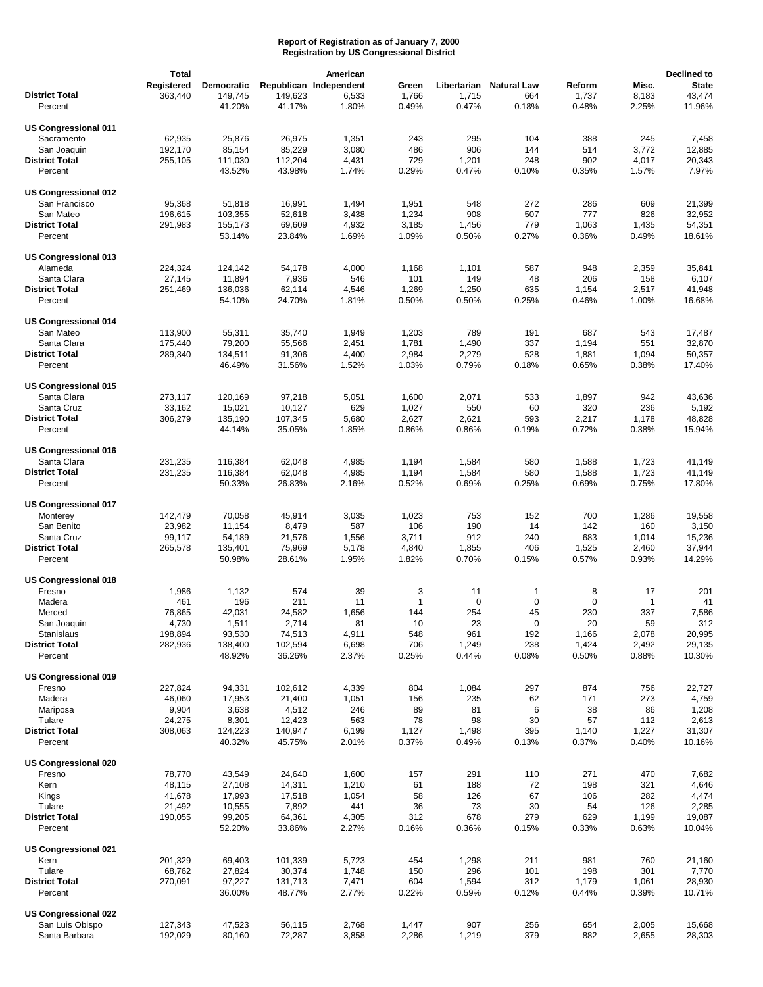|                             | <b>Total</b> |            |         | American               |              |             |              |             |              | Declined to  |
|-----------------------------|--------------|------------|---------|------------------------|--------------|-------------|--------------|-------------|--------------|--------------|
|                             | Registered   | Democratic |         | Republican Independent | Green        | Libertarian | Natural Law  | Reform      | Misc.        | <b>State</b> |
| <b>District Total</b>       | 363,440      | 149,745    | 149,623 | 6,533                  | 1,766        | 1,715       | 664          | 1,737       | 8,183        | 43,474       |
| Percent                     |              | 41.20%     | 41.17%  | 1.80%                  | 0.49%        | 0.47%       | 0.18%        | 0.48%       | 2.25%        | 11.96%       |
|                             |              |            |         |                        |              |             |              |             |              |              |
| <b>US Congressional 011</b> |              |            |         |                        |              |             |              |             |              |              |
| Sacramento                  | 62,935       | 25,876     | 26,975  | 1,351                  | 243          | 295         | 104          | 388         | 245          | 7,458        |
| San Joaquin                 | 192,170      | 85,154     | 85,229  | 3,080                  | 486          | 906         | 144          | 514         | 3,772        | 12,885       |
| <b>District Total</b>       |              |            |         |                        |              |             | 248          | 902         |              | 20,343       |
|                             | 255,105      | 111,030    | 112,204 | 4,431                  | 729          | 1,201       |              |             | 4,017        |              |
| Percent                     |              | 43.52%     | 43.98%  | 1.74%                  | 0.29%        | 0.47%       | 0.10%        | 0.35%       | 1.57%        | 7.97%        |
|                             |              |            |         |                        |              |             |              |             |              |              |
| US Congressional 012        |              |            |         |                        |              |             |              |             |              |              |
| San Francisco               | 95,368       | 51,818     | 16,991  | 1,494                  | 1,951        | 548         | 272          | 286         | 609          | 21,399       |
| San Mateo                   | 196,615      | 103,355    | 52,618  | 3,438                  | 1,234        | 908         | 507          | 777         | 826          | 32,952       |
| <b>District Total</b>       | 291,983      | 155,173    | 69,609  | 4,932                  | 3,185        | 1,456       | 779          | 1,063       | 1,435        | 54,351       |
| Percent                     |              | 53.14%     | 23.84%  | 1.69%                  | 1.09%        | 0.50%       | 0.27%        | 0.36%       | 0.49%        | 18.61%       |
|                             |              |            |         |                        |              |             |              |             |              |              |
| US Congressional 013        |              |            |         |                        |              |             |              |             |              |              |
| Alameda                     | 224,324      | 124,142    | 54,178  | 4,000                  | 1,168        | 1,101       | 587          | 948         | 2,359        | 35,841       |
| Santa Clara                 | 27,145       | 11,894     | 7,936   | 546                    | 101          | 149         | 48           | 206         | 158          | 6,107        |
| <b>District Total</b>       | 251,469      | 136,036    | 62,114  | 4,546                  | 1,269        | 1,250       | 635          | 1,154       | 2,517        | 41,948       |
| Percent                     |              | 54.10%     | 24.70%  | 1.81%                  | 0.50%        | 0.50%       | 0.25%        | 0.46%       | 1.00%        | 16.68%       |
|                             |              |            |         |                        |              |             |              |             |              |              |
| <b>US Congressional 014</b> |              |            |         |                        |              |             |              |             |              |              |
| San Mateo                   | 113,900      | 55,311     | 35,740  | 1,949                  | 1,203        | 789         | 191          | 687         | 543          | 17,487       |
| Santa Clara                 | 175,440      | 79,200     | 55,566  | 2,451                  | 1,781        | 1,490       | 337          | 1,194       | 551          | 32,870       |
| <b>District Total</b>       |              |            |         |                        |              |             | 528          |             |              |              |
|                             | 289,340      | 134,511    | 91,306  | 4,400                  | 2,984        | 2,279       |              | 1,881       | 1,094        | 50,357       |
| Percent                     |              | 46.49%     | 31.56%  | 1.52%                  | 1.03%        | 0.79%       | 0.18%        | 0.65%       | 0.38%        | 17.40%       |
|                             |              |            |         |                        |              |             |              |             |              |              |
| <b>US Congressional 015</b> |              |            |         |                        |              |             |              |             |              |              |
| Santa Clara                 | 273,117      | 120,169    | 97,218  | 5,051                  | 1,600        | 2,071       | 533          | 1,897       | 942          | 43,636       |
| Santa Cruz                  | 33,162       | 15,021     | 10,127  | 629                    | 1,027        | 550         | 60           | 320         | 236          | 5,192        |
| <b>District Total</b>       | 306,279      | 135,190    | 107,345 | 5,680                  | 2,627        | 2,621       | 593          | 2,217       | 1,178        | 48,828       |
| Percent                     |              | 44.14%     | 35.05%  | 1.85%                  | 0.86%        | 0.86%       | 0.19%        | 0.72%       | 0.38%        | 15.94%       |
|                             |              |            |         |                        |              |             |              |             |              |              |
| US Congressional 016        |              |            |         |                        |              |             |              |             |              |              |
| Santa Clara                 | 231,235      | 116,384    | 62,048  | 4,985                  | 1,194        | 1,584       | 580          | 1,588       | 1,723        | 41,149       |
| <b>District Total</b>       | 231,235      | 116,384    | 62,048  | 4,985                  | 1,194        | 1,584       | 580          | 1,588       | 1,723        | 41,149       |
| Percent                     |              | 50.33%     | 26.83%  | 2.16%                  | 0.52%        | 0.69%       | 0.25%        | 0.69%       | 0.75%        | 17.80%       |
|                             |              |            |         |                        |              |             |              |             |              |              |
| US Congressional 017        |              |            |         |                        |              |             |              |             |              |              |
| Monterey                    | 142,479      | 70,058     | 45,914  | 3,035                  | 1,023        | 753         | 152          | 700         | 1,286        | 19,558       |
| San Benito                  | 23,982       | 11,154     | 8,479   | 587                    | 106          | 190         | 14           | 142         | 160          | 3,150        |
| Santa Cruz                  |              |            |         |                        |              | 912         | 240          | 683         | 1,014        | 15,236       |
|                             | 99,117       | 54,189     | 21,576  | 1,556                  | 3,711        |             |              |             |              |              |
| <b>District Total</b>       | 265,578      | 135,401    | 75,969  | 5,178                  | 4,840        | 1,855       | 406          | 1,525       | 2,460        | 37,944       |
| Percent                     |              | 50.98%     | 28.61%  | 1.95%                  | 1.82%        | 0.70%       | 0.15%        | 0.57%       | 0.93%        | 14.29%       |
|                             |              |            |         |                        |              |             |              |             |              |              |
| US Congressional 018        |              |            |         |                        |              |             |              |             |              |              |
| Fresno                      | 1,986        | 1,132      | 574     | 39                     | 3            | 11          | $\mathbf{1}$ | 8           | 17           | 201          |
| Madera                      | 461          | 196        | 211     | 11                     | $\mathbf{1}$ | $\mathbf 0$ | $\mathbf 0$  | $\mathbf 0$ | $\mathbf{1}$ | 41           |
| Merced                      | 76,865       | 42,031     | 24,582  | 1,656                  | 144          | 254         | 45           | 230         | 337          | 7,586        |
| San Joaquin                 | 4,730        | 1,511      | 2,714   | 81                     | 10           | 23          | $\mathbf 0$  | 20          | 59           | 312          |
| Stanislaus                  | 198,894      | 93,530     | 74,513  | 4,911                  | 548          | 961         | 192          | 1,166       | 2,078        | 20,995       |
| <b>District Total</b>       | 282,936      | 138,400    | 102,594 | 6,698                  | 706          | 1,249       | 238          | 1,424       | 2,492        | 29,135       |
| Percent                     |              | 48.92%     | 36.26%  | 2.37%                  | 0.25%        | 0.44%       | 0.08%        | 0.50%       | 0.88%        | 10.30%       |
|                             |              |            |         |                        |              |             |              |             |              |              |
| <b>US Congressional 019</b> |              |            |         |                        |              |             |              |             |              |              |
| Fresno                      | 227,824      | 94,331     | 102,612 | 4,339                  | 804          | 1,084       | 297          | 874         | 756          | 22,727       |
| Madera                      | 46,060       | 17,953     | 21,400  | 1,051                  | 156          | 235         | 62           | 171         | 273          | 4,759        |
| Mariposa                    | 9,904        | 3,638      | 4,512   | 246                    | 89           | 81          | 6            | 38          | 86           | 1,208        |
| Tulare                      | 24,275       | 8,301      | 12,423  | 563                    | 78           | 98          | 30           | 57          | 112          | 2,613        |
| <b>District Total</b>       | 308,063      | 124,223    | 140,947 | 6,199                  | 1,127        | 1,498       | 395          | 1,140       | 1,227        | 31,307       |
| Percent                     |              | 40.32%     |         | 2.01%                  | 0.37%        | 0.49%       |              | 0.37%       | 0.40%        | 10.16%       |
|                             |              |            | 45.75%  |                        |              |             | 0.13%        |             |              |              |
|                             |              |            |         |                        |              |             |              |             |              |              |
| US Congressional 020        |              |            |         |                        |              |             |              |             |              |              |
| Fresno                      | 78,770       | 43,549     | 24,640  | 1,600                  | 157          | 291         | 110          | 271         | 470          | 7,682        |
| Kern                        | 48,115       | 27,108     | 14,311  | 1,210                  | 61           | 188         | 72           | 198         | 321          | 4,646        |
| Kings                       | 41,678       | 17,993     | 17,518  | 1,054                  | 58           | 126         | 67           | 106         | 282          | 4,474        |
| Tulare                      | 21,492       | 10,555     | 7,892   | 441                    | 36           | 73          | 30           | 54          | 126          | 2,285        |
| <b>District Total</b>       | 190,055      | 99,205     | 64,361  | 4,305                  | 312          | 678         | 279          | 629         | 1,199        | 19,087       |
| Percent                     |              | 52.20%     | 33.86%  | 2.27%                  | 0.16%        | 0.36%       | 0.15%        | 0.33%       | 0.63%        | 10.04%       |
|                             |              |            |         |                        |              |             |              |             |              |              |
| <b>US Congressional 021</b> |              |            |         |                        |              |             |              |             |              |              |
| Kern                        | 201,329      | 69,403     | 101,339 | 5,723                  | 454          | 1,298       | 211          | 981         | 760          | 21,160       |
| Tulare                      | 68,762       | 27,824     | 30,374  | 1,748                  | 150          | 296         | 101          | 198         | 301          | 7,770        |
| <b>District Total</b>       | 270,091      | 97,227     | 131,713 | 7,471                  | 604          | 1,594       | 312          | 1,179       | 1,061        | 28,930       |
| Percent                     |              | 36.00%     | 48.77%  | 2.77%                  | 0.22%        | 0.59%       | 0.12%        | 0.44%       | 0.39%        | 10.71%       |
|                             |              |            |         |                        |              |             |              |             |              |              |
| US Congressional 022        |              |            |         |                        |              |             |              |             |              |              |
|                             |              |            |         |                        |              |             |              | 654         |              |              |
| San Luis Obispo             | 127,343      | 47,523     | 56,115  | 2,768                  | 1,447        | 907         | 256          |             | 2,005        | 15,668       |
| Santa Barbara               | 192,029      | 80,160     | 72,287  | 3,858                  | 2,286        | 1,219       | 379          | 882         | 2,655        | 28,303       |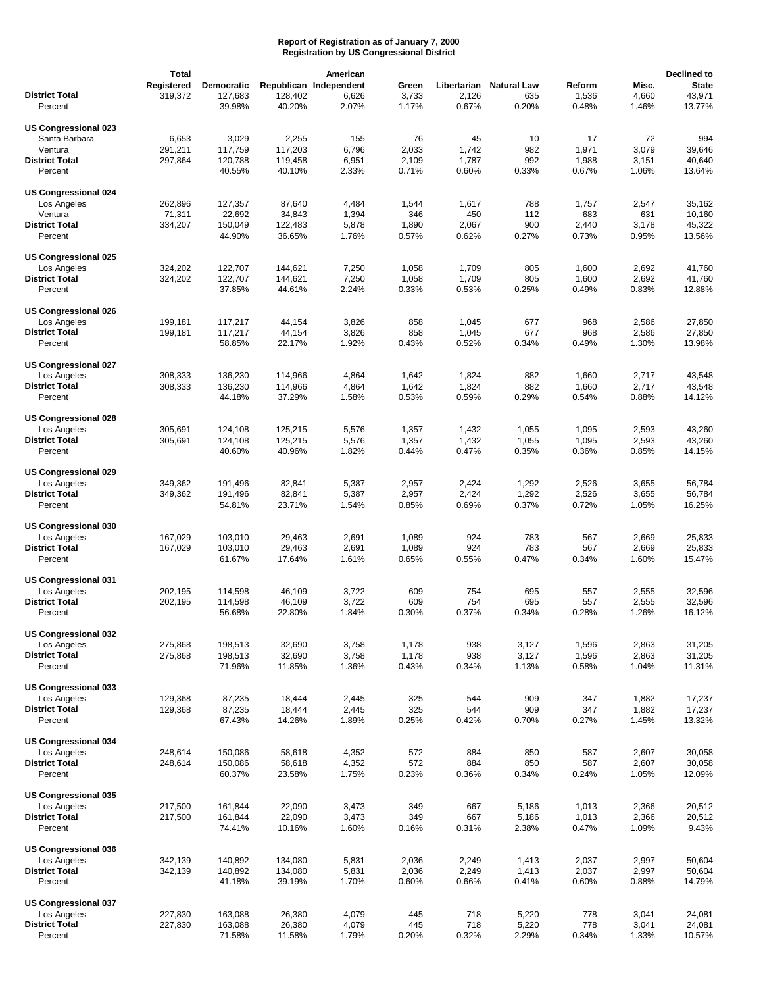|                                            | <b>Total</b> |            |         | American               |       |             |                    |        |       | Declined to  |
|--------------------------------------------|--------------|------------|---------|------------------------|-------|-------------|--------------------|--------|-------|--------------|
|                                            | Registered   | Democratic |         | Republican Independent | Green | Libertarian | <b>Natural Law</b> | Reform | Misc. | <b>State</b> |
| <b>District Total</b>                      | 319,372      | 127,683    | 128,402 | 6,626                  | 3,733 | 2,126       | 635                | 1,536  | 4,660 | 43,971       |
| Percent                                    |              | 39.98%     | 40.20%  | 2.07%                  | 1.17% | 0.67%       | 0.20%              | 0.48%  | 1.46% | 13.77%       |
|                                            |              |            |         |                        |       |             |                    |        |       |              |
| US Congressional 023                       |              |            |         |                        |       |             |                    |        |       |              |
| Santa Barbara                              | 6,653        | 3,029      | 2,255   | 155                    | 76    | 45          | 10                 | 17     | 72    | 994          |
| Ventura                                    | 291,211      | 117,759    | 117,203 | 6,796                  | 2,033 | 1,742       | 982                | 1,971  | 3,079 | 39,646       |
| <b>District Total</b>                      | 297,864      | 120,788    | 119,458 | 6,951                  | 2,109 | 1,787       | 992                | 1,988  | 3,151 | 40,640       |
| Percent                                    |              | 40.55%     | 40.10%  | 2.33%                  | 0.71% | 0.60%       | 0.33%              | 0.67%  | 1.06% | 13.64%       |
|                                            |              |            |         |                        |       |             |                    |        |       |              |
| <b>US Congressional 024</b>                |              |            |         |                        |       |             |                    |        |       |              |
| Los Angeles                                | 262,896      | 127,357    | 87,640  | 4,484                  | 1,544 | 1,617       | 788                | 1,757  | 2,547 | 35,162       |
| Ventura                                    | 71,311       | 22,692     | 34,843  | 1,394                  | 346   | 450         | 112                | 683    | 631   | 10,160       |
| <b>District Total</b>                      | 334,207      | 150,049    | 122,483 | 5,878                  | 1,890 | 2,067       | 900                | 2,440  | 3,178 | 45,322       |
| Percent                                    |              | 44.90%     | 36.65%  | 1.76%                  | 0.57% | 0.62%       | 0.27%              | 0.73%  | 0.95% | 13.56%       |
|                                            |              |            |         |                        |       |             |                    |        |       |              |
| US Congressional 025                       |              |            |         |                        |       |             |                    |        |       |              |
| Los Angeles                                | 324,202      | 122,707    | 144,621 | 7,250                  | 1,058 | 1,709       | 805                | 1,600  | 2,692 | 41,760       |
| <b>District Total</b>                      | 324,202      | 122,707    | 144,621 | 7,250                  | 1,058 | 1,709       | 805                | 1,600  | 2,692 | 41,760       |
| Percent                                    |              | 37.85%     | 44.61%  | 2.24%                  | 0.33% | 0.53%       | 0.25%              | 0.49%  | 0.83% | 12.88%       |
|                                            |              |            |         |                        |       |             |                    |        |       |              |
| <b>US Congressional 026</b>                |              |            |         |                        |       |             |                    |        |       |              |
| Los Angeles                                | 199.181      | 117,217    | 44,154  | 3,826                  | 858   | 1,045       | 677                | 968    | 2,586 | 27,850       |
| <b>District Total</b>                      | 199,181      | 117,217    | 44,154  | 3,826                  | 858   | 1,045       | 677                | 968    | 2,586 | 27,850       |
| Percent                                    |              | 58.85%     | 22.17%  | 1.92%                  | 0.43% | 0.52%       | 0.34%              | 0.49%  | 1.30% | 13.98%       |
|                                            |              |            |         |                        |       |             |                    |        |       |              |
| <b>US Congressional 027</b>                |              |            |         |                        |       |             |                    |        |       |              |
| Los Angeles<br><b>District Total</b>       | 308,333      | 136,230    | 114,966 | 4,864                  | 1,642 | 1,824       | 882                | 1,660  | 2,717 | 43,548       |
|                                            | 308,333      | 136,230    | 114,966 | 4,864                  | 1,642 | 1,824       | 882                | 1,660  | 2,717 | 43,548       |
| Percent                                    |              | 44.18%     | 37.29%  | 1.58%                  | 0.53% | 0.59%       | 0.29%              | 0.54%  | 0.88% | 14.12%       |
| US Congressional 028                       |              |            |         |                        |       |             |                    |        |       |              |
| Los Angeles                                | 305,691      | 124,108    | 125,215 | 5,576                  | 1,357 | 1,432       | 1,055              | 1,095  | 2,593 | 43,260       |
| <b>District Total</b>                      | 305,691      | 124,108    | 125,215 | 5,576                  | 1,357 | 1,432       | 1,055              | 1,095  | 2,593 | 43,260       |
| Percent                                    |              | 40.60%     | 40.96%  | 1.82%                  | 0.44% | 0.47%       | 0.35%              | 0.36%  | 0.85% | 14.15%       |
|                                            |              |            |         |                        |       |             |                    |        |       |              |
| US Congressional 029                       |              |            |         |                        |       |             |                    |        |       |              |
| Los Angeles                                | 349,362      | 191,496    | 82,841  | 5,387                  | 2,957 | 2,424       | 1,292              | 2,526  | 3,655 | 56,784       |
| <b>District Total</b>                      | 349,362      | 191,496    | 82,841  | 5,387                  | 2,957 | 2,424       | 1,292              | 2,526  | 3,655 | 56,784       |
| Percent                                    |              | 54.81%     | 23.71%  | 1.54%                  | 0.85% | 0.69%       | 0.37%              | 0.72%  | 1.05% | 16.25%       |
|                                            |              |            |         |                        |       |             |                    |        |       |              |
| US Congressional 030                       |              |            |         |                        |       |             |                    |        |       |              |
| Los Angeles                                | 167,029      | 103,010    | 29,463  | 2,691                  | 1,089 | 924         | 783                | 567    | 2,669 | 25,833       |
| <b>District Total</b>                      | 167,029      | 103,010    | 29,463  | 2,691                  | 1,089 | 924         | 783                | 567    | 2,669 | 25,833       |
| Percent                                    |              | 61.67%     | 17.64%  | 1.61%                  | 0.65% | 0.55%       | 0.47%              | 0.34%  | 1.60% | 15.47%       |
|                                            |              |            |         |                        |       |             |                    |        |       |              |
| US Congressional 031                       |              |            |         |                        |       |             |                    |        |       |              |
| Los Angeles                                | 202,195      | 114,598    | 46,109  | 3,722                  | 609   | 754         | 695                | 557    | 2,555 | 32,596       |
| <b>District Total</b>                      | 202,195      | 114,598    | 46,109  | 3,722                  | 609   | 754         | 695                | 557    | 2,555 | 32,596       |
| Percent                                    |              | 56.68%     | 22.80%  | 1.84%                  | 0.30% | 0.37%       | 0.34%              | 0.28%  | 1.26% | 16.12%       |
|                                            |              |            |         |                        |       |             |                    |        |       |              |
| US Congressional 032                       |              |            |         |                        |       |             |                    |        |       |              |
| Los Angeles                                | 275,868      | 198,513    | 32,690  | 3,758                  | 1,178 | 938         | 3,127              | 1,596  | 2,863 | 31,205       |
| <b>District Total</b>                      | 275,868      | 198,513    | 32,690  | 3,758                  | 1,178 | 938         | 3,127              | 1,596  | 2,863 | 31,205       |
| Percent                                    |              | 71.96%     | 11.85%  | 1.36%                  | 0.43% | 0.34%       | 1.13%              | 0.58%  | 1.04% | 11.31%       |
|                                            |              |            |         |                        |       |             |                    |        |       |              |
| US Congressional 033                       |              |            |         |                        |       |             |                    |        |       |              |
| Los Angeles                                | 129,368      | 87,235     | 18,444  | 2,445                  | 325   | 544         | 909                | 347    | 1,882 | 17,237       |
| <b>District Total</b>                      | 129,368      | 87,235     | 18,444  | 2,445                  | 325   | 544         | 909                | 347    | 1,882 | 17,237       |
| Percent                                    |              | 67.43%     | 14.26%  | 1.89%                  | 0.25% | 0.42%       | 0.70%              | 0.27%  | 1.45% | 13.32%       |
|                                            |              |            |         |                        |       |             |                    |        |       |              |
| <b>US Congressional 034</b><br>Los Angeles | 248,614      | 150,086    | 58,618  | 4,352                  | 572   | 884         | 850                | 587    | 2,607 | 30,058       |
| <b>District Total</b>                      | 248,614      | 150,086    | 58,618  | 4,352                  | 572   | 884         | 850                | 587    | 2,607 | 30,058       |
| Percent                                    |              | 60.37%     | 23.58%  | 1.75%                  | 0.23% | 0.36%       | 0.34%              | 0.24%  | 1.05% | 12.09%       |
|                                            |              |            |         |                        |       |             |                    |        |       |              |
| US Congressional 035                       |              |            |         |                        |       |             |                    |        |       |              |
| Los Angeles                                | 217,500      | 161,844    | 22,090  | 3,473                  | 349   | 667         | 5,186              | 1,013  | 2,366 | 20,512       |
| <b>District Total</b>                      | 217,500      | 161,844    | 22,090  | 3,473                  | 349   | 667         | 5,186              | 1,013  | 2,366 | 20,512       |
| Percent                                    |              | 74.41%     | 10.16%  | 1.60%                  | 0.16% | 0.31%       | 2.38%              | 0.47%  | 1.09% | 9.43%        |
|                                            |              |            |         |                        |       |             |                    |        |       |              |
| <b>US Congressional 036</b>                |              |            |         |                        |       |             |                    |        |       |              |
| Los Angeles                                | 342,139      | 140,892    | 134,080 | 5,831                  | 2,036 | 2,249       | 1,413              | 2,037  | 2,997 | 50,604       |
| <b>District Total</b>                      | 342,139      | 140,892    | 134,080 | 5,831                  | 2,036 | 2,249       | 1,413              | 2,037  | 2,997 | 50,604       |
| Percent                                    |              | 41.18%     | 39.19%  | 1.70%                  | 0.60% | 0.66%       | 0.41%              | 0.60%  | 0.88% | 14.79%       |
|                                            |              |            |         |                        |       |             |                    |        |       |              |
| US Congressional 037                       |              |            |         |                        |       |             |                    |        |       |              |
| Los Angeles                                | 227,830      | 163,088    | 26,380  | 4,079                  | 445   | 718         | 5,220              | 778    | 3,041 | 24,081       |
| <b>District Total</b>                      | 227,830      | 163,088    | 26,380  | 4,079                  | 445   | 718         | 5,220              | 778    | 3,041 | 24,081       |
| Percent                                    |              | 71.58%     | 11.58%  | 1.79%                  | 0.20% | 0.32%       | 2.29%              | 0.34%  | 1.33% | 10.57%       |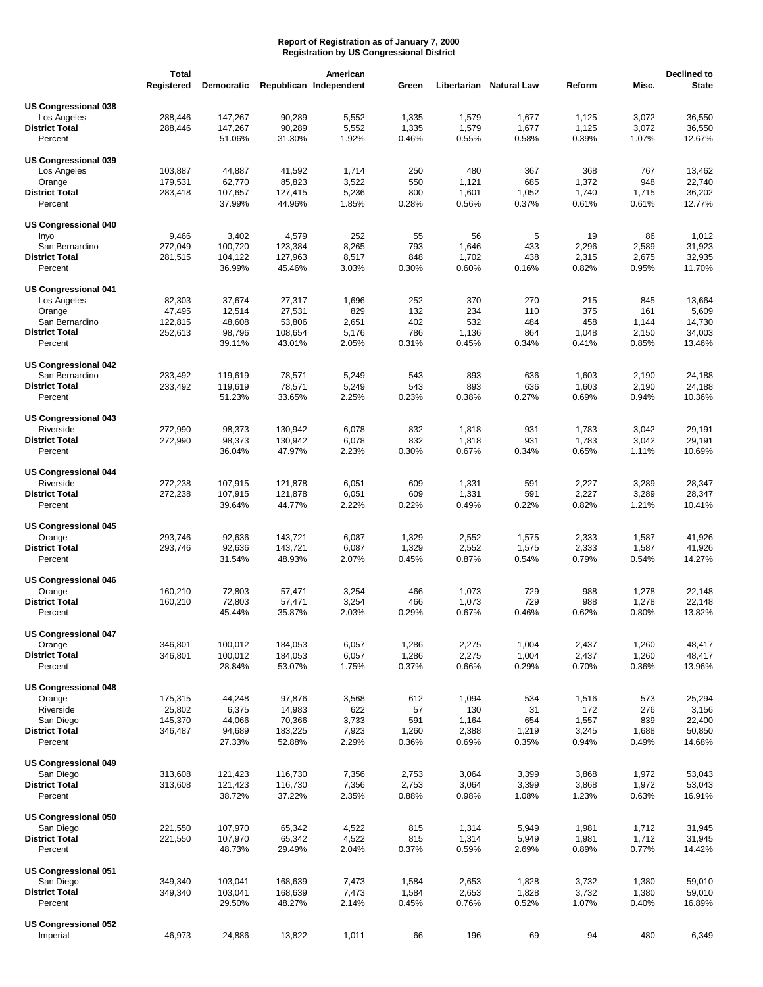|                                          | <b>Total</b> |                   |                    | American               |                |                |                         |        |                | Declined to  |
|------------------------------------------|--------------|-------------------|--------------------|------------------------|----------------|----------------|-------------------------|--------|----------------|--------------|
|                                          | Registered   | <b>Democratic</b> |                    | Republican Independent | Green          |                | Libertarian Natural Law | Reform | Misc.          | <b>State</b> |
|                                          |              |                   |                    |                        |                |                |                         |        |                |              |
| US Congressional 038                     |              |                   |                    |                        |                |                |                         |        |                |              |
| Los Angeles                              | 288,446      | 147,267           | 90,289             | 5,552                  | 1,335          | 1,579          | 1,677                   | 1,125  | 3,072          | 36,550       |
| <b>District Total</b>                    | 288,446      | 147,267           | 90,289             | 5,552                  | 1,335          | 1,579          | 1,677                   | 1,125  | 3,072          | 36,550       |
| Percent                                  |              | 51.06%            | 31.30%             | 1.92%                  | 0.46%          | 0.55%          | 0.58%                   | 0.39%  | 1.07%          | 12.67%       |
|                                          |              |                   |                    |                        |                |                |                         |        |                |              |
| <b>US Congressional 039</b>              |              |                   |                    |                        |                |                |                         |        |                |              |
| Los Angeles                              | 103,887      | 44,887            | 41,592             | 1,714                  | 250            | 480            | 367                     | 368    | 767            | 13,462       |
| Orange                                   | 179,531      | 62,770            | 85,823             | 3,522                  | 550            | 1,121          | 685                     | 1,372  | 948            | 22,740       |
| <b>District Total</b>                    | 283,418      | 107,657           | 127,415            | 5,236                  | 800            | 1,601          | 1,052                   | 1,740  | 1,715          | 36,202       |
| Percent                                  |              | 37.99%            | 44.96%             | 1.85%                  | 0.28%          | 0.56%          | 0.37%                   | 0.61%  | 0.61%          | 12.77%       |
| <b>US Congressional 040</b>              |              |                   |                    |                        |                |                |                         |        |                |              |
| Inyo                                     | 9,466        | 3,402             | 4,579              | 252                    | 55             | 56             | 5                       | 19     | 86             | 1,012        |
| San Bernardino                           | 272,049      | 100,720           | 123,384            | 8,265                  | 793            | 1,646          | 433                     | 2,296  | 2,589          | 31,923       |
| <b>District Total</b>                    | 281,515      | 104,122           | 127,963            | 8,517                  | 848            | 1,702          | 438                     | 2,315  | 2,675          | 32,935       |
| Percent                                  |              | 36.99%            | 45.46%             | 3.03%                  | 0.30%          | 0.60%          | 0.16%                   | 0.82%  | 0.95%          | 11.70%       |
|                                          |              |                   |                    |                        |                |                |                         |        |                |              |
| <b>US Congressional 041</b>              |              |                   |                    |                        |                |                |                         |        |                |              |
| Los Angeles                              | 82,303       | 37,674            | 27,317             | 1,696                  | 252            | 370            | 270                     | 215    | 845            | 13,664       |
| Orange                                   | 47,495       | 12,514            | 27,531             | 829                    | 132            | 234            | 110                     | 375    | 161            | 5,609        |
| San Bernardino                           | 122,815      | 48,608            | 53,806             | 2,651                  | 402            | 532            | 484                     | 458    | 1,144          | 14,730       |
| <b>District Total</b>                    | 252,613      | 98,796            | 108,654            | 5,176                  | 786            | 1,136          | 864                     | 1,048  | 2,150          | 34,003       |
| Percent                                  |              | 39.11%            | 43.01%             | 2.05%                  | 0.31%          | 0.45%          | 0.34%                   | 0.41%  | 0.85%          | 13.46%       |
|                                          |              |                   |                    |                        |                |                |                         |        |                |              |
| <b>US Congressional 042</b>              |              |                   |                    |                        |                |                |                         |        |                |              |
| San Bernardino                           | 233,492      | 119,619           | 78,571             | 5,249                  | 543            | 893            | 636                     | 1,603  | 2,190          | 24,188       |
| <b>District Total</b>                    | 233,492      | 119,619           | 78,571             | 5,249                  | 543            | 893            | 636                     | 1,603  | 2,190          | 24,188       |
| Percent                                  |              | 51.23%            | 33.65%             | 2.25%                  | 0.23%          | 0.38%          | 0.27%                   | 0.69%  | 0.94%          | 10.36%       |
|                                          |              |                   |                    |                        |                |                |                         |        |                |              |
| <b>US Congressional 043</b>              |              |                   |                    |                        |                |                |                         |        |                |              |
| Riverside                                | 272,990      | 98,373            | 130,942            | 6,078                  | 832            | 1,818          | 931                     | 1,783  | 3,042          | 29,191       |
| <b>District Total</b>                    | 272,990      | 98,373            | 130,942            | 6,078                  | 832            | 1,818          | 931                     | 1,783  | 3,042          | 29,191       |
| Percent                                  |              | 36.04%            | 47.97%             | 2.23%                  | 0.30%          | 0.67%          | 0.34%                   | 0.65%  | 1.11%          | 10.69%       |
|                                          |              |                   |                    |                        |                |                |                         |        |                |              |
| <b>US Congressional 044</b>              |              |                   |                    |                        |                |                |                         |        |                |              |
| Riverside                                | 272,238      | 107,915           | 121,878            | 6,051                  | 609            | 1,331          | 591                     | 2,227  | 3,289          | 28,347       |
| <b>District Total</b>                    | 272,238      | 107,915           | 121,878            | 6,051                  | 609            | 1,331          | 591                     | 2,227  | 3,289          | 28,347       |
| Percent                                  |              | 39.64%            | 44.77%             | 2.22%                  | 0.22%          | 0.49%          | 0.22%                   | 0.82%  | 1.21%          | 10.41%       |
|                                          |              |                   |                    |                        |                |                |                         |        |                |              |
| <b>US Congressional 045</b>              |              |                   |                    |                        |                |                |                         |        |                |              |
| Orange<br><b>District Total</b>          | 293,746      | 92,636            | 143,721            | 6,087                  | 1,329          | 2,552          | 1,575                   | 2,333  | 1,587          | 41,926       |
|                                          | 293,746      | 92,636            | 143,721            | 6,087                  | 1,329          | 2,552          | 1,575                   | 2,333  | 1,587          | 41,926       |
| Percent                                  |              | 31.54%            | 48.93%             | 2.07%                  | 0.45%          | 0.87%          | 0.54%                   | 0.79%  | 0.54%          | 14.27%       |
| <b>US Congressional 046</b>              |              |                   |                    |                        |                |                |                         |        |                |              |
| Orange                                   | 160,210      | 72,803            | 57,471             | 3,254                  | 466            | 1,073          | 729                     | 988    | 1,278          | 22,148       |
| <b>District Total</b>                    | 160,210      | 72,803            | 57,471             | 3,254                  | 466            | 1,073          | 729                     | 988    | 1,278          | 22,148       |
| Percent                                  |              | 45.44%            | 35.87%             | 2.03%                  | 0.29%          | 0.67%          | 0.46%                   | 0.62%  | 0.80%          | 13.82%       |
|                                          |              |                   |                    |                        |                |                |                         |        |                |              |
| US Congressional 047                     |              |                   |                    |                        |                |                |                         |        |                |              |
| Orange                                   | 346,801      | 100,012           | 184,053            | 6,057                  | 1,286          | 2,275          | 1,004                   | 2,437  | 1,260          | 48,417       |
| <b>District Total</b>                    | 346,801      | 100,012           | 184,053            | 6,057                  | 1,286          | 2,275          | 1,004                   | 2,437  | 1,260          | 48,417       |
| Percent                                  |              | 28.84%            | 53.07%             | 1.75%                  | 0.37%          | 0.66%          | 0.29%                   | 0.70%  | 0.36%          | 13.96%       |
|                                          |              |                   |                    |                        |                |                |                         |        |                |              |
| US Congressional 048                     |              |                   |                    |                        |                |                |                         |        |                |              |
| Orange                                   | 175,315      | 44,248            | 97,876             | 3,568                  | 612            | 1,094          | 534                     | 1,516  | 573            | 25,294       |
| Riverside                                | 25,802       | 6,375             | 14,983             | 622                    | 57             | 130            | 31                      | 172    | 276            | 3,156        |
| San Diego                                | 145,370      | 44,066            | 70,366             | 3,733                  | 591            | 1,164          | 654                     | 1,557  | 839            | 22,400       |
| <b>District Total</b>                    | 346,487      | 94,689            | 183,225            | 7,923                  | 1,260          | 2,388          | 1,219                   | 3,245  | 1,688          | 50,850       |
| Percent                                  |              | 27.33%            | 52.88%             | 2.29%                  | 0.36%          | 0.69%          | 0.35%                   | 0.94%  | 0.49%          | 14.68%       |
|                                          |              |                   |                    |                        |                |                |                         |        |                |              |
| <b>US Congressional 049</b><br>San Diego | 313,608      | 121,423           |                    | 7,356                  |                |                |                         | 3,868  |                | 53,043       |
| <b>District Total</b>                    | 313,608      | 121,423           | 116,730<br>116,730 | 7,356                  | 2,753<br>2,753 | 3,064<br>3,064 | 3,399<br>3,399          | 3,868  | 1,972<br>1,972 | 53,043       |
| Percent                                  |              | 38.72%            | 37.22%             | 2.35%                  | 0.88%          | 0.98%          | 1.08%                   | 1.23%  | 0.63%          | 16.91%       |
|                                          |              |                   |                    |                        |                |                |                         |        |                |              |
| <b>US Congressional 050</b>              |              |                   |                    |                        |                |                |                         |        |                |              |
| San Diego                                | 221,550      | 107,970           | 65,342             | 4,522                  | 815            | 1,314          | 5,949                   | 1,981  | 1,712          | 31,945       |
| <b>District Total</b>                    | 221,550      | 107,970           | 65,342             | 4,522                  | 815            | 1,314          | 5,949                   | 1,981  | 1,712          | 31,945       |
| Percent                                  |              | 48.73%            | 29.49%             | 2.04%                  | 0.37%          | 0.59%          | 2.69%                   | 0.89%  | 0.77%          | 14.42%       |
|                                          |              |                   |                    |                        |                |                |                         |        |                |              |
| US Congressional 051                     |              |                   |                    |                        |                |                |                         |        |                |              |
| San Diego                                | 349,340      | 103,041           | 168,639            | 7,473                  | 1,584          | 2,653          | 1,828                   | 3,732  | 1,380          | 59,010       |
| <b>District Total</b>                    | 349,340      | 103,041           | 168,639            | 7,473                  | 1,584          | 2,653          | 1,828                   | 3,732  | 1,380          | 59,010       |
| Percent                                  |              | 29.50%            | 48.27%             | 2.14%                  | 0.45%          | 0.76%          | 0.52%                   | 1.07%  | 0.40%          | 16.89%       |
|                                          |              |                   |                    |                        |                |                |                         |        |                |              |
| US Congressional 052                     |              |                   |                    |                        |                |                |                         |        |                |              |
| Imperial                                 | 46,973       | 24,886            | 13,822             | 1,011                  | 66             | 196            | 69                      | 94     | 480            | 6,349        |